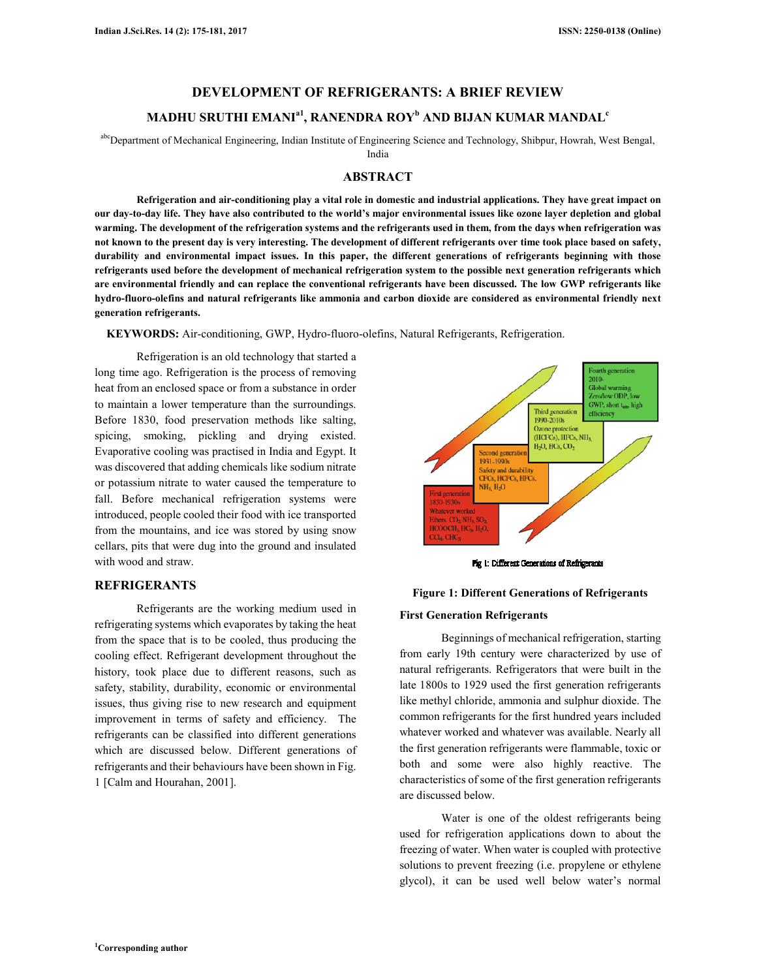### **DEVELOPMENT OF REFRIGERANTS: A BRIEF REVIEW**

## **MADHU SRUTHI EMANIa1, RANENDRA ROY<sup>b</sup> AND BIJAN KUMAR MANDAL<sup>c</sup>**

abcDepartment of Mechanical Engineering, Indian Institute of Engineering Science and Technology, Shibpur, Howrah, West Bengal,

India

### **ABSTRACT**

**Refrigeration and air-conditioning play a vital role in domestic and industrial applications. They have great impact on our day-to-day life. They have also contributed to the world's major environmental issues like ozone layer depletion and global warming. The development of the refrigeration systems and the refrigerants used in them, from the days when refrigeration was not known to the present day is very interesting. The development of different refrigerants over time took place based on safety, durability and environmental impact issues. In this paper, the different generations of refrigerants beginning with those refrigerants used before the development of mechanical refrigeration system to the possible next generation refrigerants which are environmental friendly and can replace the conventional refrigerants have been discussed. The low GWP refrigerants like hydro-fluoro-olefins and natural refrigerants like ammonia and carbon dioxide are considered as environmental friendly next generation refrigerants.** 

**KEYWORDS:** Air-conditioning, GWP, Hydro-fluoro-olefins, Natural Refrigerants, Refrigeration.

Refrigeration is an old technology that started a long time ago. Refrigeration is the process of removing heat from an enclosed space or from a substance in order to maintain a lower temperature than the surroundings. Before 1830, food preservation methods like salting, spicing, smoking, pickling and drying existed. Evaporative cooling was practised in India and Egypt. It was discovered that adding chemicals like sodium nitrate or potassium nitrate to water caused the temperature to fall. Before mechanical refrigeration systems were introduced, people cooled their food with ice transported from the mountains, and ice was stored by using snow cellars, pits that were dug into the ground and insulated with wood and straw.

## **REFRIGERANTS**

Refrigerants are the working medium used in refrigerating systems which evaporates by taking the heat from the space that is to be cooled, thus producing the cooling effect. Refrigerant development throughout the history, took place due to different reasons, such as safety, stability, durability, economic or environmental issues, thus giving rise to new research and equipment improvement in terms of safety and efficiency. The refrigerants can be classified into different generations which are discussed below. Different generations of refrigerants and their behaviours have been shown in Fig. 1 [Calm and Hourahan, 2001].



Fig 1: Different Generations of Refrigerants

#### **Figure 1: Different Generations of Refrigerants**

#### **First Generation Refrigerants**

Beginnings of mechanical refrigeration, starting from early 19th century were characterized by use of natural refrigerants. Refrigerators that were built in the late 1800s to 1929 used the first generation refrigerants like methyl chloride, ammonia and sulphur dioxide. The common refrigerants for the first hundred years included whatever worked and whatever was available. Nearly all the first generation refrigerants were flammable, toxic or both and some were also highly reactive. The characteristics of some of the first generation refrigerants are discussed below.

Water is one of the oldest refrigerants being used for refrigeration applications down to about the freezing of water. When water is coupled with protective solutions to prevent freezing (i.e. propylene or ethylene glycol), it can be used well below water's normal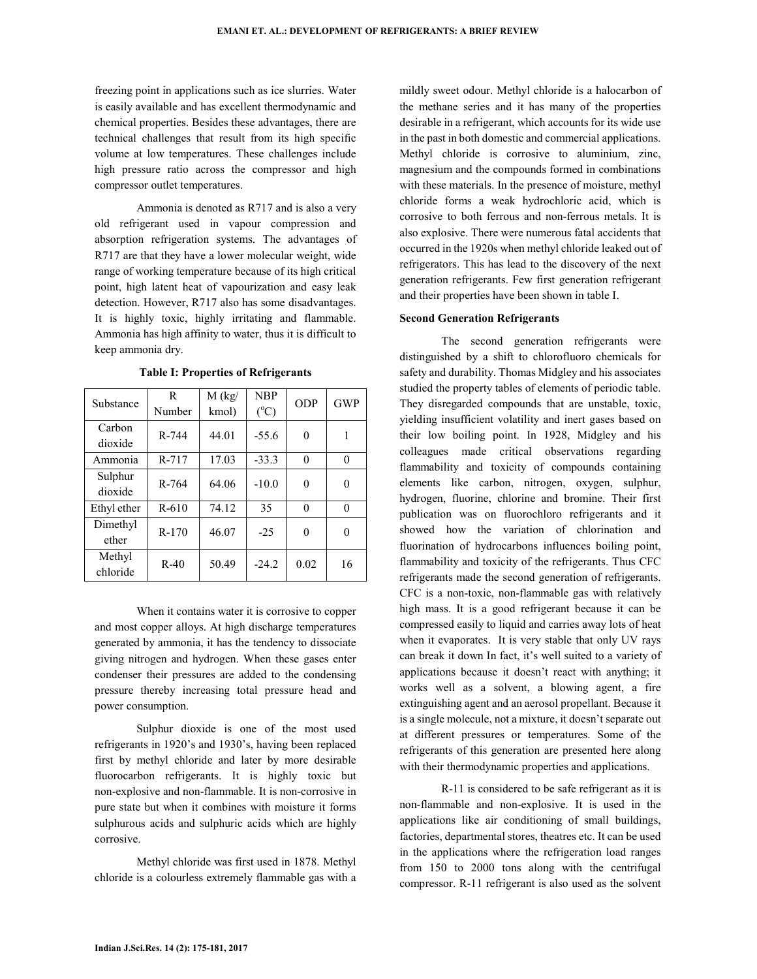freezing point in applications such as ice slurries. Water is easily available and has excellent thermodynamic and chemical properties. Besides these advantages, there are technical challenges that result from its high specific volume at low temperatures. These challenges include high pressure ratio across the compressor and high compressor outlet temperatures.

Ammonia is denoted as R717 and is also a very old refrigerant used in vapour compression and absorption refrigeration systems. The advantages of R717 are that they have a lower molecular weight, wide range of working temperature because of its high critical point, high latent heat of vapourization and easy leak detection. However, R717 also has some disadvantages. It is highly toxic, highly irritating and flammable. Ammonia has high affinity to water, thus it is difficult to keep ammonia dry.

| Substance   | R       | M (kg) | <b>NBP</b>    | <b>ODP</b> | <b>GWP</b> |
|-------------|---------|--------|---------------|------------|------------|
|             | Number  | kmol)  | $(^{\circ}C)$ |            |            |
| Carbon      | R-744   | 44.01  | $-55.6$       | 0          |            |
| dioxide     |         |        |               |            |            |
| Ammonia     | R-717   | 17.03  | $-33.3$       | 0          | 0          |
| Sulphur     | R-764   | 64.06  | $-10.0$       | 0          | $\theta$   |
| dioxide     |         |        |               |            |            |
| Ethyl ether | $R-610$ | 74.12  | 35            | 0          | $\theta$   |
| Dimethyl    | $R-170$ | 46.07  | $-25$         | 0          | 0          |
| ether       |         |        |               |            |            |
| Methyl      | $R-40$  | 50.49  | $-24.2$       | 0.02       | 16         |
| chloride    |         |        |               |            |            |

**Table I: Properties of Refrigerants** 

When it contains water it is corrosive to copper and most copper alloys. At high discharge temperatures generated by ammonia, it has the tendency to dissociate giving nitrogen and hydrogen. When these gases enter condenser their pressures are added to the condensing pressure thereby increasing total pressure head and power consumption.

Sulphur dioxide is one of the most used refrigerants in 1920's and 1930's, having been replaced first by methyl chloride and later by more desirable fluorocarbon refrigerants. It is highly toxic but non-explosive and non-flammable. It is non-corrosive in pure state but when it combines with moisture it forms sulphurous acids and sulphuric acids which are highly corrosive.

Methyl chloride was first used in 1878. Methyl chloride is a colourless extremely flammable gas with a mildly sweet odour. Methyl chloride is a halocarbon of the methane series and it has many of the properties desirable in a refrigerant, which accounts for its wide use in the past in both domestic and commercial applications. Methyl chloride is corrosive to aluminium, zinc, magnesium and the compounds formed in combinations with these materials. In the presence of moisture, methyl chloride forms a weak hydrochloric acid, which is corrosive to both ferrous and non-ferrous metals. It is also explosive. There were numerous fatal accidents that occurred in the 1920s when methyl chloride leaked out of refrigerators. This has lead to the discovery of the next generation refrigerants. Few first generation refrigerant and their properties have been shown in table I.

### **Second Generation Refrigerants**

The second generation refrigerants were distinguished by a shift to chlorofluoro chemicals for safety and durability. Thomas Midgley and his associates studied the property tables of elements of periodic table. They disregarded compounds that are unstable, toxic, yielding insufficient volatility and inert gases based on their low boiling point. In 1928, Midgley and his colleagues made critical observations regarding flammability and toxicity of compounds containing elements like carbon, nitrogen, oxygen, sulphur, hydrogen, fluorine, chlorine and bromine. Their first publication was on fluorochloro refrigerants and it showed how the variation of chlorination and fluorination of hydrocarbons influences boiling point, flammability and toxicity of the refrigerants. Thus CFC refrigerants made the second generation of refrigerants. CFC is a non-toxic, non-flammable gas with relatively high mass. It is a good refrigerant because it can be compressed easily to liquid and carries away lots of heat when it evaporates. It is very stable that only UV rays can break it down In fact, it's well suited to a variety of applications because it doesn't react with anything; it works well as a solvent, a blowing agent, a fire extinguishing agent and an aerosol propellant. Because it is a single molecule, not a mixture, it doesn't separate out at different pressures or temperatures. Some of the refrigerants of this generation are presented here along with their thermodynamic properties and applications.

R-11 is considered to be safe refrigerant as it is non-flammable and non-explosive. It is used in the applications like air conditioning of small buildings, factories, departmental stores, theatres etc. It can be used in the applications where the refrigeration load ranges from 150 to 2000 tons along with the centrifugal compressor. R-11 refrigerant is also used as the solvent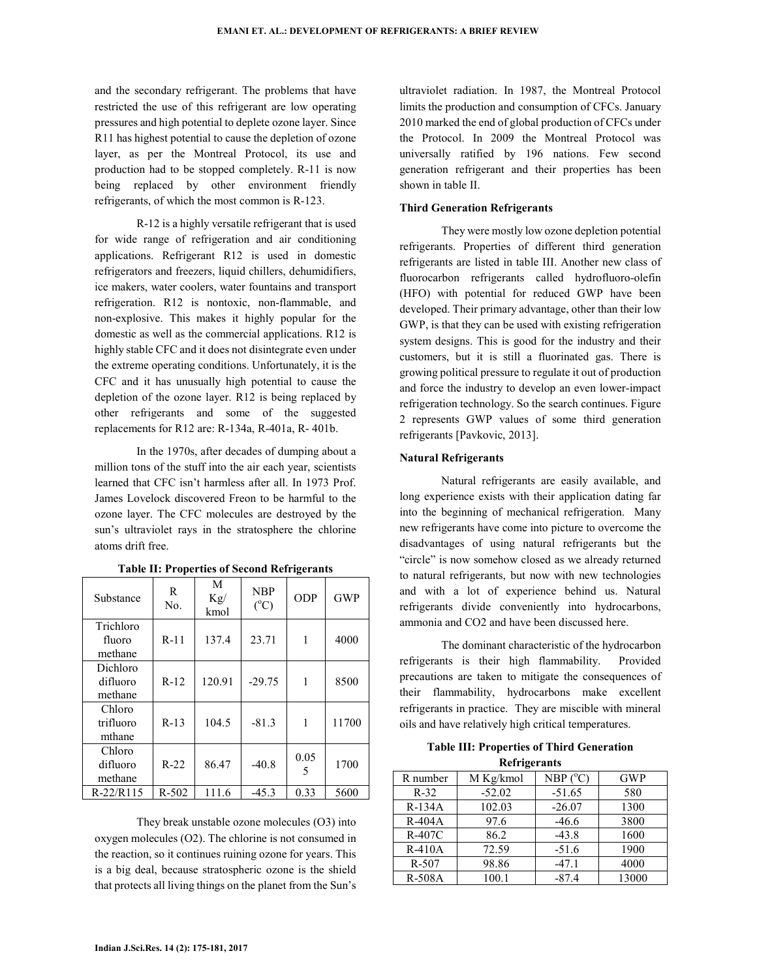and the secondary refrigerant. The problems that have restricted the use of this refrigerant are low operating pressures and high potential to deplete ozone layer. Since R11 has highest potential to cause the depletion of ozone layer, as per the Montreal Protocol, its use and production had to be stopped completely. R-11 is now being replaced by other environment friendly refrigerants, of which the most common is R-123.

R-12 is a highly versatile refrigerant that is used for wide range of refrigeration and air conditioning applications. Refrigerant R12 is used in domestic refrigerators and freezers, liquid chillers, dehumidifiers, ice makers, water coolers, water fountains and transport refrigeration. R12 is nontoxic, non-flammable, and non-explosive. This makes it highly popular for the domestic as well as the commercial applications. R12 is highly stable CFC and it does not disintegrate even under the extreme operating conditions. Unfortunately, it is the CFC and it has unusually high potential to cause the depletion of the ozone layer. R12 is being replaced by other refrigerants and some of the suggested replacements for R12 are: R-134a, R-401a, R- 401b.

In the 1970s, after decades of dumping about a million tons of the stuff into the air each year, scientists learned that CFC isn't harmless after all. In 1973 Prof. James Lovelock discovered Freon to be harmful to the ozone layer. The CFC molecules are destroyed by the sun's ultraviolet rays in the stratosphere the chlorine atoms drift free.

| Substance                       | R<br>No.  | M<br>Kg/<br>kmol | <b>NBP</b><br>$(^{\circ}C)$ | <b>ODP</b> | <b>GWP</b> |
|---------------------------------|-----------|------------------|-----------------------------|------------|------------|
| Trichloro<br>fluoro<br>methane  | $R-11$    | 137.4            | 23.71                       | 1          | 4000       |
| Dichloro<br>difluoro<br>methane | $R-12$    | 120.91           | $-29.75$                    | 1          | 8500       |
| Chloro<br>trifluoro<br>mthane   | $R-13$    | 104.5            | $-81.3$                     | 1          | 11700      |
| Chloro<br>difluoro<br>methane   | $R-22$    | 86.47            | $-40.8$                     | 0.05<br>5  | 1700       |
| R-22/R115                       | $R - 502$ | 111.6            | $-45.3$                     | 0.33       | 5600       |

**Table II: Properties of Second Refrigerants** 

They break unstable ozone molecules (O3) into oxygen molecules (O2). The chlorine is not consumed in the reaction, so it continues ruining ozone for years. This is a big deal, because stratospheric ozone is the shield that protects all living things on the planet from the Sun's ultraviolet radiation. In 1987, the Montreal Protocol limits the production and consumption of CFCs. January 2010 marked the end of global production of CFCs under the Protocol. In 2009 the Montreal Protocol was universally ratified by 196 nations. Few second generation refrigerant and their properties has been shown in table II.

### **Third Generation Refrigerants**

They were mostly low ozone depletion potential refrigerants. Properties of different third generation refrigerants are listed in table III. Another new class of fluorocarbon refrigerants called hydrofluoro-olefin (HFO) with potential for reduced GWP have been developed. Their primary advantage, other than their low GWP, is that they can be used with existing refrigeration system designs. This is good for the industry and their customers, but it is still a fluorinated gas. There is growing political pressure to regulate it out of production and force the industry to develop an even lower-impact refrigeration technology. So the search continues. Figure 2 represents GWP values of some third generation refrigerants [Pavkovic, 2013].

### **Natural Refrigerants**

Natural refrigerants are easily available, and long experience exists with their application dating far into the beginning of mechanical refrigeration. Many new refrigerants have come into picture to overcome the disadvantages of using natural refrigerants but the "circle" is now somehow closed as we already returned to natural refrigerants, but now with new technologies and with a lot of experience behind us. Natural refrigerants divide conveniently into hydrocarbons, ammonia and CO2 and have been discussed here.

The dominant characteristic of the hydrocarbon refrigerants is their high flammability. Provided precautions are taken to mitigate the consequences of their flammability, hydrocarbons make excellent refrigerants in practice. They are miscible with mineral oils and have relatively high critical temperatures.

**Table III: Properties of Third Generation Refrigerants** 

| R number      | M Kg/kmol | NBP (°C) | <b>GWP</b> |  |  |  |
|---------------|-----------|----------|------------|--|--|--|
| $R-32$        | $-52.02$  | $-51.65$ | 580        |  |  |  |
| $R-134A$      | 102.03    | $-26.07$ | 1300       |  |  |  |
| $R-404A$      | 97.6      | $-46.6$  | 3800       |  |  |  |
| R-407C        | 86.2      | $-43.8$  | 1600       |  |  |  |
| $R-410A$      | 72.59     | $-51.6$  | 1900       |  |  |  |
| $R - 507$     | 98.86     | $-47.1$  | 4000       |  |  |  |
| <b>R-508A</b> | 100.1     | $-87.4$  | 13000      |  |  |  |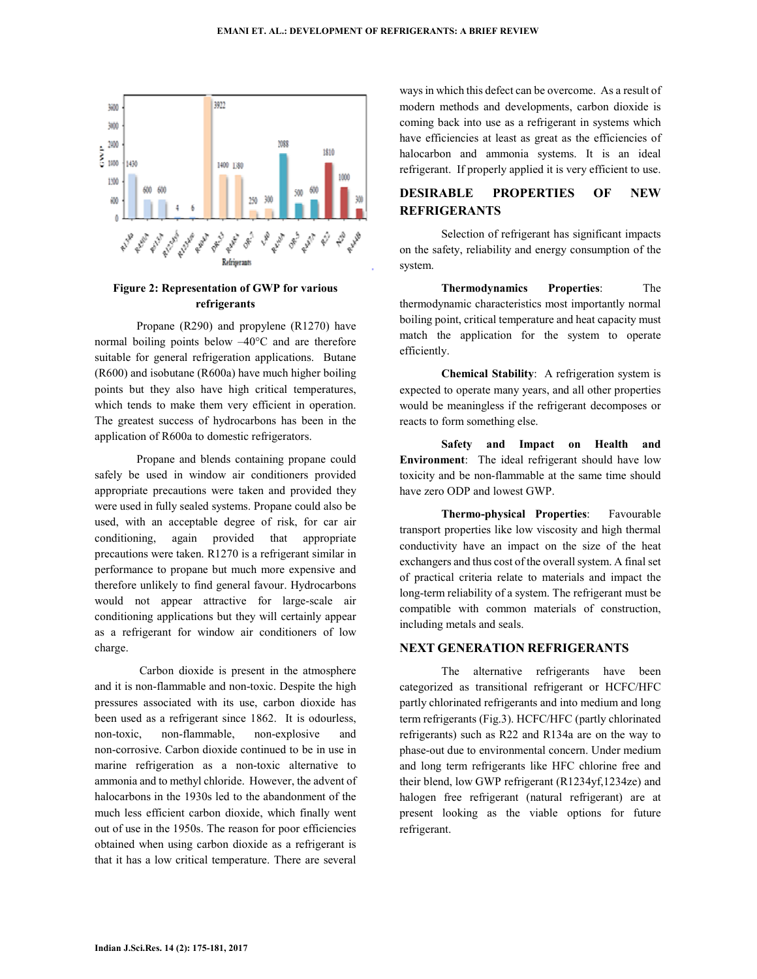

## **Figure 2: Representation of GWP for various refrigerants**

Propane (R290) and propylene (R1270) have normal boiling points below –40°C and are therefore suitable for general refrigeration applications. Butane (R600) and isobutane (R600a) have much higher boiling points but they also have high critical temperatures, which tends to make them very efficient in operation. The greatest success of hydrocarbons has been in the application of R600a to domestic refrigerators.

Propane and blends containing propane could safely be used in window air conditioners provided appropriate precautions were taken and provided they were used in fully sealed systems. Propane could also be used, with an acceptable degree of risk, for car air conditioning, again provided that appropriate precautions were taken. R1270 is a refrigerant similar in performance to propane but much more expensive and therefore unlikely to find general favour. Hydrocarbons would not appear attractive for large-scale air conditioning applications but they will certainly appear as a refrigerant for window air conditioners of low charge.

 Carbon dioxide is present in the atmosphere and it is non-flammable and non-toxic. Despite the high pressures associated with its use, carbon dioxide has been used as a refrigerant since 1862. It is odourless, non-toxic, non-flammable, non-explosive and non-corrosive. Carbon dioxide continued to be in use in marine refrigeration as a non-toxic alternative to ammonia and to methyl chloride. However, the advent of halocarbons in the 1930s led to the abandonment of the much less efficient carbon dioxide, which finally went out of use in the 1950s. The reason for poor efficiencies obtained when using carbon dioxide as a refrigerant is that it has a low critical temperature. There are several

ways in which this defect can be overcome. As a result of modern methods and developments, carbon dioxide is coming back into use as a refrigerant in systems which have efficiencies at least as great as the efficiencies of halocarbon and ammonia systems. It is an ideal refrigerant. If properly applied it is very efficient to use.

# **DESIRABLE PROPERTIES OF NEW REFRIGERANTS**

Selection of refrigerant has significant impacts on the safety, reliability and energy consumption of the system.

**Thermodynamics Properties**: The thermodynamic characteristics most importantly normal boiling point, critical temperature and heat capacity must match the application for the system to operate efficiently.

**Chemical Stability**: A refrigeration system is expected to operate many years, and all other properties would be meaningless if the refrigerant decomposes or reacts to form something else.

**Safety and Impact on Health and Environment**: The ideal refrigerant should have low toxicity and be non-flammable at the same time should have zero ODP and lowest GWP.

**Thermo-physical Properties**: Favourable transport properties like low viscosity and high thermal conductivity have an impact on the size of the heat exchangers and thus cost of the overall system. A final set of practical criteria relate to materials and impact the long-term reliability of a system. The refrigerant must be compatible with common materials of construction, including metals and seals.

## **NEXT GENERATION REFRIGERANTS**

The alternative refrigerants have been categorized as transitional refrigerant or HCFC/HFC partly chlorinated refrigerants and into medium and long term refrigerants (Fig.3). HCFC/HFC (partly chlorinated refrigerants) such as R22 and R134a are on the way to phase-out due to environmental concern. Under medium and long term refrigerants like HFC chlorine free and their blend, low GWP refrigerant (R1234yf,1234ze) and halogen free refrigerant (natural refrigerant) are at present looking as the viable options for future refrigerant.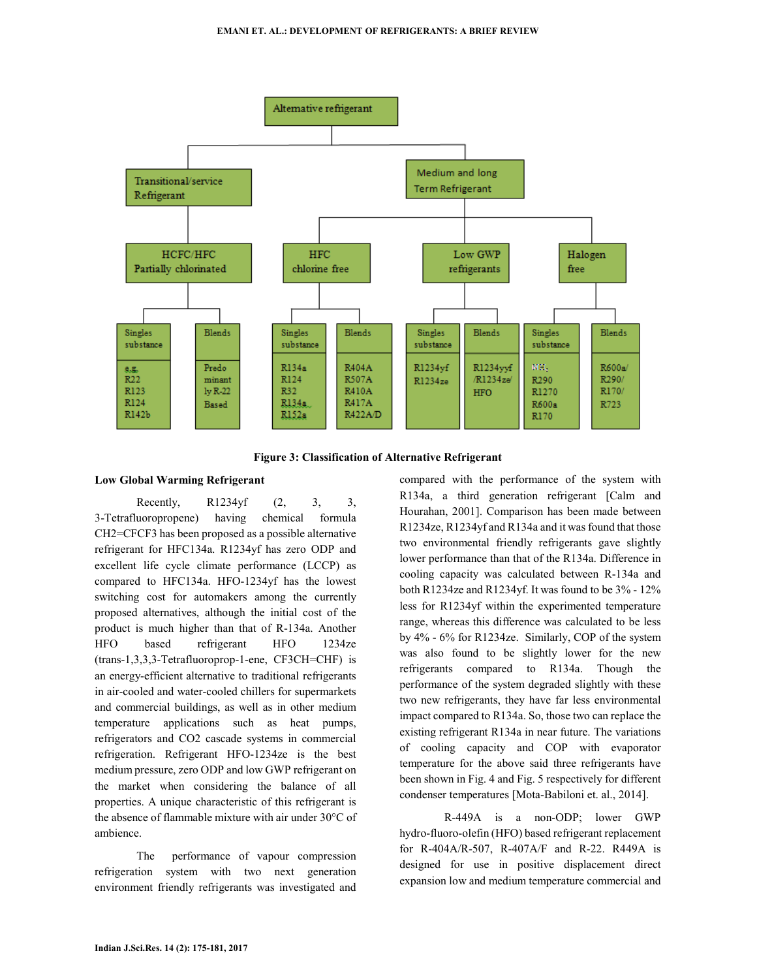

**Figure 3: Classification of Alternative Refrigerant**

#### **Low Global Warming Refrigerant**

Recently, R1234yf (2, 3, 3, 3-Tetrafluoropropene) having chemical formula CH2=CFCF3 has been proposed as a possible alternative refrigerant for HFC134a. R1234yf has zero ODP and excellent life cycle climate performance (LCCP) as compared to HFC134a. HFO-1234yf has the lowest switching cost for automakers among the currently proposed alternatives, although the initial cost of the product is much higher than that of R-134a. Another HFO based refrigerant HFO 1234ze (trans-1,3,3,3-Tetrafluoroprop-1-ene, CF3CH=CHF) is an energy-efficient alternative to traditional refrigerants in air-cooled and water-cooled chillers for supermarkets and commercial buildings, as well as in other medium temperature applications such as heat pumps, refrigerators and CO2 cascade systems in commercial refrigeration. Refrigerant HFO-1234ze is the best medium pressure, zero ODP and low GWP refrigerant on the market when considering the balance of all properties. A unique characteristic of this refrigerant is the absence of flammable mixture with air under 30°C of ambience.

The performance of vapour compression refrigeration system with two next generation environment friendly refrigerants was investigated and compared with the performance of the system with R134a, a third generation refrigerant [Calm and Hourahan, 2001]. Comparison has been made between R1234ze, R1234yf and R134a and it was found that those two environmental friendly refrigerants gave slightly lower performance than that of the R134a. Difference in cooling capacity was calculated between R-134a and both R1234ze and R1234yf. It was found to be 3% - 12% less for R1234yf within the experimented temperature range, whereas this difference was calculated to be less by 4% - 6% for R1234ze. Similarly, COP of the system was also found to be slightly lower for the new refrigerants compared to R134a. Though the performance of the system degraded slightly with these two new refrigerants, they have far less environmental impact compared to R134a. So, those two can replace the existing refrigerant R134a in near future. The variations of cooling capacity and COP with evaporator temperature for the above said three refrigerants have been shown in Fig. 4 and Fig. 5 respectively for different condenser temperatures [Mota-Babiloni et. al., 2014].

 R-449A is a non-ODP; lower GWP hydro-fluoro-olefin (HFO) based refrigerant replacement for R-404A/R-507, R-407A/F and R-22. R449A is designed for use in positive displacement direct expansion low and medium temperature commercial and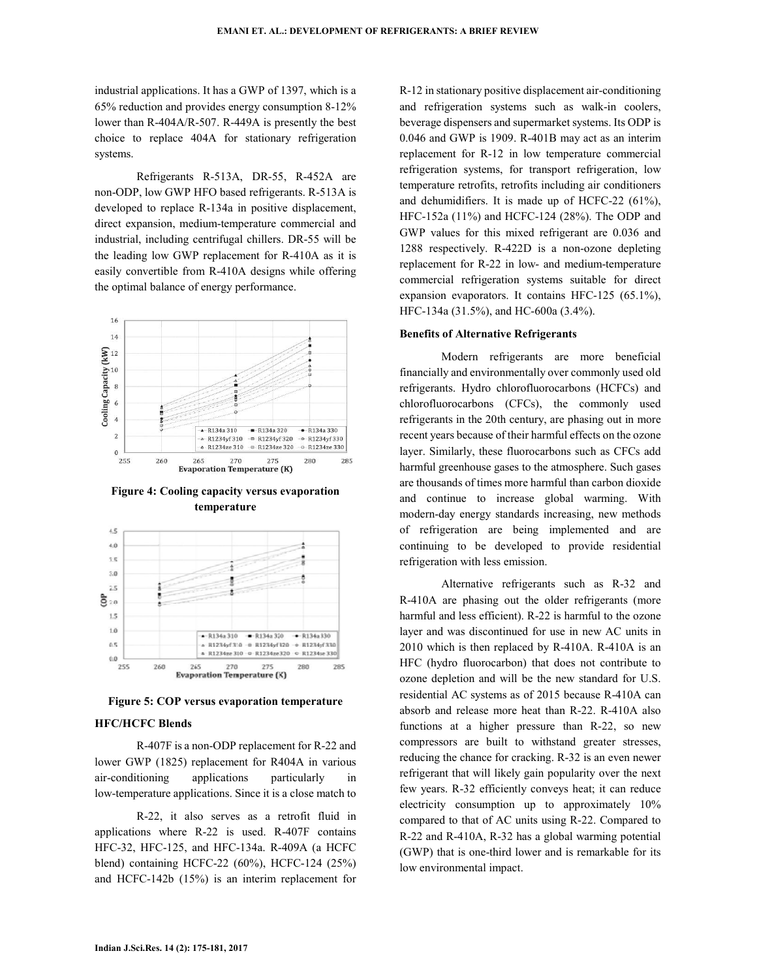industrial applications. It has a GWP of 1397, which is a 65% reduction and provides energy consumption 8-12% lower than R-404A/R-507. R-449A is presently the best choice to replace 404A for stationary refrigeration systems.

Refrigerants R-513A, DR-55, R-452A are non-ODP, low GWP HFO based refrigerants. R-513A is developed to replace R-134a in positive displacement, direct expansion, medium-temperature commercial and industrial, including centrifugal chillers. DR-55 will be the leading low GWP replacement for R-410A as it is easily convertible from R-410A designs while offering the optimal balance of energy performance.



**Figure 4: Cooling capacity versus evaporation temperature** 



**Figure 5: COP versus evaporation temperature**

#### **HFC/HCFC Blends**

R-407F is a non-ODP replacement for R-22 and lower GWP (1825) replacement for R404A in various air-conditioning applications particularly in low-temperature applications. Since it is a close match to

R-22, it also serves as a retrofit fluid in applications where R-22 is used. R-407F contains HFC-32, HFC-125, and HFC-134a. R-409A (a HCFC blend) containing HCFC-22 (60%), HCFC-124 (25%) and HCFC-142b (15%) is an interim replacement for R-12 in stationary positive displacement air-conditioning and refrigeration systems such as walk-in coolers, beverage dispensers and supermarket systems. Its ODP is 0.046 and GWP is 1909. R-401B may act as an interim replacement for R-12 in low temperature commercial refrigeration systems, for transport refrigeration, low temperature retrofits, retrofits including air conditioners and dehumidifiers. It is made up of HCFC-22 (61%), HFC-152a (11%) and HCFC-124 (28%). The ODP and GWP values for this mixed refrigerant are 0.036 and 1288 respectively. R-422D is a non-ozone depleting replacement for R-22 in low- and medium-temperature commercial refrigeration systems suitable for direct expansion evaporators. It contains HFC-125 (65.1%), HFC-134a (31.5%), and HC-600a (3.4%).

#### **Benefits of Alternative Refrigerants**

Modern refrigerants are more beneficial financially and environmentally over commonly used old refrigerants. Hydro chlorofluorocarbons (HCFCs) and chlorofluorocarbons (CFCs), the commonly used refrigerants in the 20th century, are phasing out in more recent years because of their harmful effects on the ozone layer. Similarly, these fluorocarbons such as CFCs add harmful greenhouse gases to the atmosphere. Such gases are thousands of times more harmful than carbon dioxide and continue to increase global warming. With modern-day energy standards increasing, new methods of refrigeration are being implemented and are continuing to be developed to provide residential refrigeration with less emission.

Alternative refrigerants such as R-32 and R-410A are phasing out the older refrigerants (more harmful and less efficient). R-22 is harmful to the ozone layer and was discontinued for use in new AC units in 2010 which is then replaced by R-410A. R-410A is an HFC (hydro fluorocarbon) that does not contribute to ozone depletion and will be the new standard for U.S. residential AC systems as of 2015 because R-410A can absorb and release more heat than R-22. R-410A also functions at a higher pressure than R-22, so new compressors are built to withstand greater stresses, reducing the chance for cracking. R-32 is an even newer refrigerant that will likely gain popularity over the next few years. R-32 efficiently conveys heat; it can reduce electricity consumption up to approximately 10% compared to that of AC units using R-22. Compared to R-22 and R-410A, R-32 has a global warming potential (GWP) that is one-third lower and is remarkable for its low environmental impact.